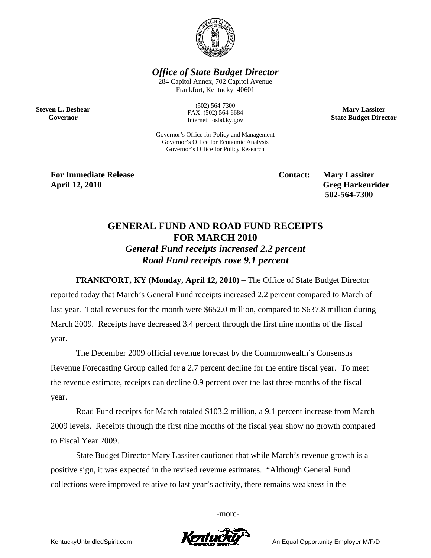

*Office of State Budget Director* 

284 Capitol Annex, 702 Capitol Avenue Frankfort, Kentucky 40601

**Steven L. Beshear Governor** 

(502) 564-7300 FAX: (502) 564-6684 Internet: osbd.ky.gov

Governor's Office for Policy and Management Governor's Office for Economic Analysis Governor's Office for Policy Research

**For Immediate Release Service Service Service Contact: Mary Lassiter April 12, 2010 Greg Harkenrider 502-564-7300** 

**Mary Lassiter State Budget Director** 

## **GENERAL FUND AND ROAD FUND RECEIPTS FOR MARCH 2010**  *General Fund receipts increased 2.2 percent Road Fund receipts rose 9.1 percent*

**FRANKFORT, KY (Monday, April 12, 2010)** – The Office of State Budget Director reported today that March's General Fund receipts increased 2.2 percent compared to March of last year. Total revenues for the month were \$652.0 million, compared to \$637.8 million during March 2009. Receipts have decreased 3.4 percent through the first nine months of the fiscal year.

The December 2009 official revenue forecast by the Commonwealth's Consensus Revenue Forecasting Group called for a 2.7 percent decline for the entire fiscal year. To meet the revenue estimate, receipts can decline 0.9 percent over the last three months of the fiscal year.

Road Fund receipts for March totaled \$103.2 million, a 9.1 percent increase from March 2009 levels. Receipts through the first nine months of the fiscal year show no growth compared to Fiscal Year 2009.

State Budget Director Mary Lassiter cautioned that while March's revenue growth is a positive sign, it was expected in the revised revenue estimates. "Although General Fund collections were improved relative to last year's activity, there remains weakness in the

-more-



KentuckyUnbridledSpirit.com **An Equal Opportunity Employer M/F/D**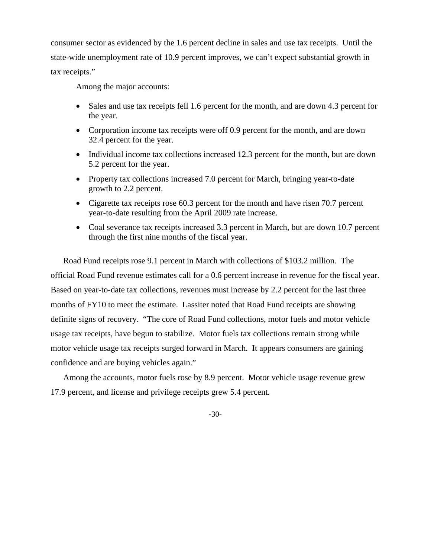consumer sector as evidenced by the 1.6 percent decline in sales and use tax receipts. Until the state-wide unemployment rate of 10.9 percent improves, we can't expect substantial growth in tax receipts."

Among the major accounts:

- Sales and use tax receipts fell 1.6 percent for the month, and are down 4.3 percent for the year.
- Corporation income tax receipts were off 0.9 percent for the month, and are down 32.4 percent for the year.
- Individual income tax collections increased 12.3 percent for the month, but are down 5.2 percent for the year.
- Property tax collections increased 7.0 percent for March, bringing year-to-date growth to 2.2 percent.
- Cigarette tax receipts rose 60.3 percent for the month and have risen 70.7 percent year-to-date resulting from the April 2009 rate increase.
- Coal severance tax receipts increased 3.3 percent in March, but are down 10.7 percent through the first nine months of the fiscal year.

Road Fund receipts rose 9.1 percent in March with collections of \$103.2 million. The official Road Fund revenue estimates call for a 0.6 percent increase in revenue for the fiscal year. Based on year-to-date tax collections, revenues must increase by 2.2 percent for the last three months of FY10 to meet the estimate. Lassiter noted that Road Fund receipts are showing definite signs of recovery. "The core of Road Fund collections, motor fuels and motor vehicle usage tax receipts, have begun to stabilize. Motor fuels tax collections remain strong while motor vehicle usage tax receipts surged forward in March. It appears consumers are gaining confidence and are buying vehicles again."

Among the accounts, motor fuels rose by 8.9 percent. Motor vehicle usage revenue grew 17.9 percent, and license and privilege receipts grew 5.4 percent.

-30-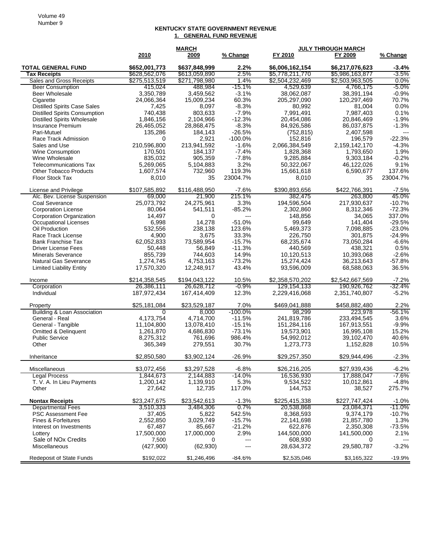## **KENTUCKY STATE GOVERNMENT REVENUE 1. GENERAL FUND REVENUE**

|                                                          |                         | <b>JULY THROUGH MARCH</b><br><b>MARCH</b> |                      |                          |                            |                     |
|----------------------------------------------------------|-------------------------|-------------------------------------------|----------------------|--------------------------|----------------------------|---------------------|
|                                                          | 2010                    | 2009                                      | % Change             | FY 2010                  | FY 2009                    | % Change            |
| <b>TOTAL GENERAL FUND</b>                                | \$652,001,773           | \$637,848,999                             | $2.2\%$              | \$6,006,162,154          | \$6,217,076,623            | $-3.4%$             |
| <b>Tax Receipts</b>                                      | \$628,562,076           | \$613,059,890                             | 2.5%                 | \$5,778,211,770          | \$5,986,163,877            | $-3.5\%$            |
| Sales and Gross Receipts                                 | \$275,513,519           | \$271,798,980                             | 1.4%                 | \$2,504,232,469          | \$2,503,963,505            | $0.0\%$             |
| <b>Beer Consumption</b>                                  | 415,024                 | 488.984                                   | $-15.1%$             | 4,529,639                | 4,766,175                  | $-5.0\%$            |
| <b>Beer Wholesale</b>                                    | 3,350,789               | 3,459,562                                 | $-3.1%$              | 38.062.087               | 38,391,194                 | $-0.9%$             |
| Cigarette                                                | 24,066,364              | 15,009,234                                | 60.3%                | 205,297,090              | 120,297,469                | 70.7%               |
| <b>Distilled Spirits Case Sales</b>                      | 7,425                   | 8,097                                     | $-8.3%$              | 80,992                   | 81,004                     | 0.0%                |
| <b>Distilled Spirits Consumption</b>                     | 740,438                 | 803,633                                   | $-7.9%$<br>$-12.3%$  | 7,991,491                | 7,987,403                  | 0.1%<br>$-1.9%$     |
| <b>Distilled Spirits Wholesale</b><br>Insurance Premium  | 1,846,156<br>26,465,052 | 2,104,966<br>28,868,475                   | $-8.3%$              | 20,454,086<br>84,926,586 | 20,846,469<br>86,037,875   | $-1.3%$             |
| Pari-Mutuel                                              | 135,286                 | 184,143                                   | $-26.5%$             | (752, 815)               | 2,407,598                  | $---$               |
| Race Track Admission                                     | 0                       | 2,921                                     | $-100.0\%$           | 152,816                  | 196,579                    | $-22.3%$            |
| Sales and Use                                            | 210,596,800             | 213,941,592                               | $-1.6%$              | 2,066,384,549            | 2,159,142,170              | $-4.3%$             |
| Wine Consumption                                         | 170,501                 | 184,137                                   | $-7.4%$              | 1,828,368                | 1,793,650                  | 1.9%                |
| Wine Wholesale                                           | 835,032                 | 905,359                                   | $-7.8%$              | 9,285,884                | 9,303,184                  | $-0.2%$             |
| <b>Telecommunications Tax</b>                            | 5,269,065               | 5,104,883                                 | 3.2%                 | 50,322,067               | 46,122,026                 | 9.1%                |
| <b>Other Tobacco Products</b>                            | 1,607,574               | 732,960                                   | 119.3%               | 15,661,618               | 6,590,677                  | 137.6%              |
| Floor Stock Tax                                          | 8,010                   | 35                                        | 23004.7%             | 8,010                    | 35                         | 23004.7%            |
| License and Privilege                                    | \$107,585,892           | \$116,488,950                             | $-7.6%$              | \$390,893,656            | \$422,766,391              | $-7.5%$             |
| Alc. Bev. License Suspension                             | 69,000                  | 21,900                                    | 215.1%               | 382.475                  | 263,800                    | 45.0%               |
| <b>Coal Severance</b>                                    | 25,073,792              | 24,275,961                                | 3.3%                 | 194,596,504              | 217,930,637                | $-10.7%$            |
| <b>Corporation License</b>                               | 80.064                  | 541.511                                   | $-85.2%$             | 2,302,860                | 8,312,346                  | $-72.3%$            |
| <b>Corporation Organization</b>                          | 14,497                  | 0                                         | $---$                | 148,856                  | 34,065                     | 337.0%              |
| <b>Occupational Licenses</b>                             | 6,998                   | 14,278                                    | $-51.0%$             | 99,649                   | 141.404                    | $-29.5%$            |
| Oil Production                                           | 532,556                 | 238.138                                   | 123.6%               | 5,469,373                | 7,098,885                  | $-23.0%$            |
| Race Track License                                       | 4,900<br>62.052.833     | 3,675                                     | 33.3%<br>$-15.7%$    | 226,750<br>68,235,674    | 301,875                    | $-24.9%$<br>$-6.6%$ |
| <b>Bank Franchise Tax</b>                                |                         | 73,589,954                                | $-11.3%$             |                          | 73,050,284                 |                     |
| <b>Driver License Fees</b><br><b>Minerals Severance</b>  | 50,448<br>855,739       | 56,849<br>744,603                         | 14.9%                | 440,569<br>10,120,513    | 438,321<br>10,393,068      | 0.5%<br>$-2.6%$     |
| Natural Gas Severance                                    | 1,274,745               | 4,753,163                                 | $-73.2%$             | 15,274,424               | 36,213,643                 | $-57.8%$            |
| <b>Limited Liability Entity</b>                          | 17,570,320              | 12,248,917                                | 43.4%                | 93,596,009               | 68,588,063                 | 36.5%               |
| Income                                                   | \$214,358,545           | \$194,043,122                             | 10.5%                | \$2,358,570,202          | \$2,542,667,569            | $-7.2%$             |
| Corporation                                              | 26,386,111              | 26,628,712                                | -0.9%                | 129, 154, 133            | 190,926,762                | -32.4%              |
| Individual                                               | 187,972,434             | 167,414,409                               | 12.3%                | 2,229,416,068            | 2,351,740,807              | $-5.2%$             |
| Property                                                 | \$25,181,084            | \$23,529,187                              | 7.0%                 | \$469,041,888            | \$458,882,480              | 2.2%                |
| Building & Loan Association                              | 0                       | 8,000                                     | $-100.0\%$           | 98,299                   | 223,978                    | -56.1%              |
| General - Real<br>General - Tangible                     | 4.173.754               | 4,714,700                                 | $-11.5%$             | 241.819.786              | 233.494.545<br>167,913,551 | 3.6%<br>$-9.9%$     |
|                                                          | 11,104,800              | 13,078,410                                | $-15.1%$<br>$-73.1%$ | 151,284,116              |                            | 15.2%               |
| <b>Omitted &amp; Delinquent</b><br><b>Public Service</b> | 1,261,870<br>8,275,312  | 4,686,830<br>761,696                      | 986.4%               | 19,573,901<br>54,992,012 | 16,995,108<br>39,102,470   | 40.6%               |
| Other                                                    | 365,349                 | 279,551                                   | 30.7%                | 1,273,773                | 1,152,828                  | 10.5%               |
|                                                          |                         |                                           |                      |                          |                            |                     |
| Inheritance                                              | \$2,850,580             | \$3,902,124                               | -26.9%               | \$29,257,350             | \$29,944,496               | $-2.3%$             |
| Miscellaneous                                            | \$3,072,456             | \$3,297,528                               | $-6.8%$              | \$26,216,205             | \$27,939,436               | $-6.2\%$            |
| Legal Process                                            | 1,844,673<br>1,200,142  | 2,144,883                                 | -14.0%<br>5.3%       | 16,536,930<br>9,534,522  | 17,888,047<br>10,012,861   | $-7.6\%$<br>$-4.8%$ |
| T. V. A. In Lieu Payments<br>Other                       | 27,642                  | 1,139,910<br>12,735                       | 117.0%               | 144,753                  | 38,527                     | 275.7%              |
| <b>Nontax Receipts</b>                                   | \$23,247,675            | \$23,542,613                              | $-1.3%$              | \$225,415,338            | \$227,747,424              | $-1.0%$             |
| <b>Departmental Fees</b>                                 | 3,510,333               | 3,484,306                                 | 0.7%                 | 20,538,868               | 23,084,371                 | $-11.0%$            |
| <b>PSC Assessment Fee</b>                                | 37,405                  | 5,822                                     | 542.5%               | 8,368,593                | 9,374,179                  | $-10.7%$            |
| Fines & Forfeitures                                      | 2,552,850               | 3,029,749                                 | $-15.7%$             | 22,141,698               | 21,857,780                 | 1.3%                |
| Interest on Investments                                  | 67,487                  | 85,667                                    | $-21.2%$             | 622,876                  | 2,350,308                  | $-73.5%$            |
| Lottery                                                  | 17,500,000              | 17,000,000                                | 2.9%                 | 144,500,000              | 141,500,000                | 2.1%                |
| Sale of NOx Credits                                      | 7,500                   | 0                                         | ---                  | 608,930                  | 0                          |                     |
| Miscellaneous                                            | (427,900)               | (62, 930)                                 | $---$                | 28,634,372               | 29,580,787                 | $-3.2%$             |
| <b>Redeposit of State Funds</b>                          | \$192,022               | \$1,246,496                               | $-84.6%$             | \$2,535,046              | \$3,165,322                | $-19.9%$            |